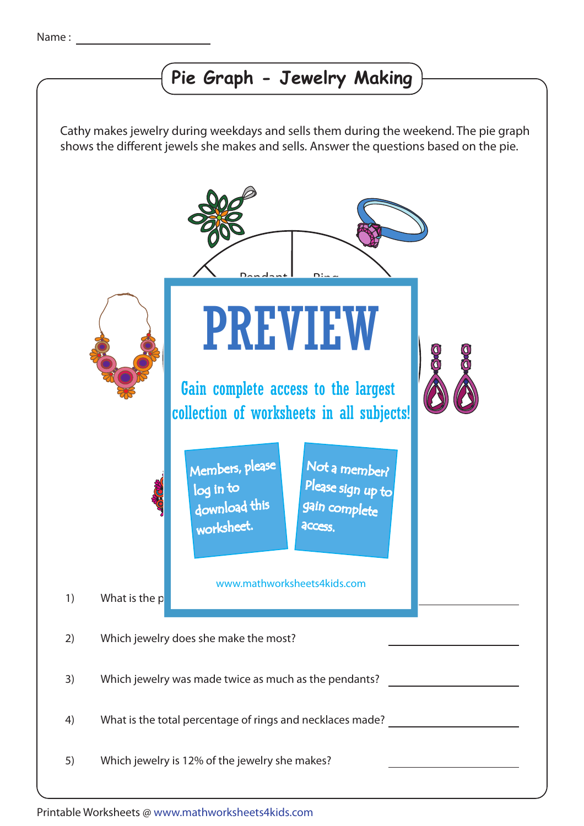## **Pie Graph - Jewelry Making**

Cathy makes jewelry during weekdays and sells them during the weekend. The pie graph shows the different jewels she makes and sells. Answer the questions based on the pie.